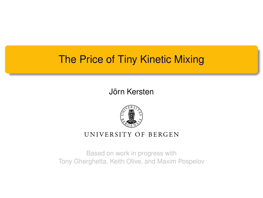## The Price of Tiny Kinetic Mixing

#### Jörn Kersten



#### UNIVERSITY OF BERGEN

Based on work in progress with Tony Gherghetta, Keith Olive, and Maxim Pospelov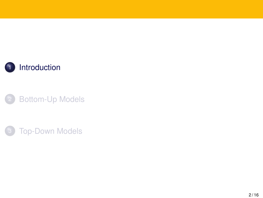<span id="page-1-0"></span>



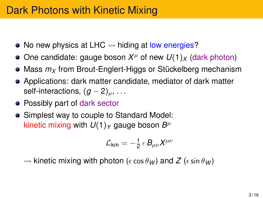- No new physics at LHC  $\rightsquigarrow$  hiding at low energies?
- One candidate: gauge boson  $X^\mu$  of new  $U(1)_X$  (dark photon)
- Mass  $m<sub>X</sub>$  from Brout-Englert-Higgs or Stückelberg mechanism
- Applications: dark matter candidate, mediator of dark matter self-interactions,  $(g-2)_u$ , ...
- Possibly part of dark sector
- Simplest way to couple to Standard Model: kinetic mixing with  $U(1)_Y$  gauge boson  $B^\mu$

$$
{\cal L}_{\text{km}} = -\tfrac{1}{2} \, \epsilon \, B_{\mu\nu} X^{\mu\nu}
$$

 $\rightsquigarrow$  kinetic mixing with photon ( $\epsilon \cos \theta_W$ ) and Z ( $\epsilon \sin \theta_W$ )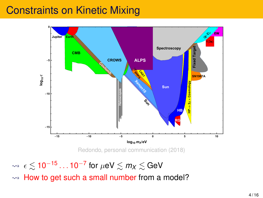### Constraints on Kinetic Mixing



 $\rightsquigarrow~$   $\epsilon$   $\lesssim$  10<sup>−15</sup> … 10<sup>−7</sup> for  $\mu$ eV  $\lesssim$   $m_{\textit{\textbf{X}}}$   $\lesssim$  GeV

 $\rightarrow$  How to get such a small number from a model?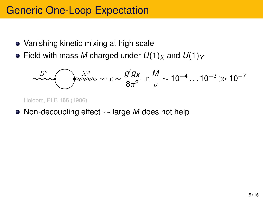### Generic One-Loop Expectation

- Vanishing kinetic mixing at high scale
- Field with mass *M* charged under  $U(1)_X$  and  $U(1)_Y$

$$
\sim \mathcal{L}^{B^{\nu}} \longrightarrow \mathcal{L}^{\mathcal{X}^{\mu}} \longrightarrow \epsilon \sim \frac{g' g_X}{8\pi^2} \ln \frac{M}{\mu} \sim 10^{-4} \dots 10^{-3} \gg 10^{-7}
$$

Holdom, PLB **166** (1986)

• Non-decoupling effect  $\rightsquigarrow$  large *M* does not help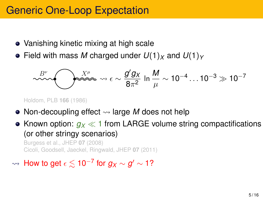### Generic One-Loop Expectation

- Vanishing kinetic mixing at high scale
- Field with mass *M* charged under  $U(1)_X$  and  $U(1)_Y$

$$
\sim \sim \sqrt{\text{max} + \epsilon} \sim \frac{g' g_X}{8\pi^2} \ln \frac{M}{\mu} \sim 10^{-4} \dots 10^{-3} \gg 10^{-7}
$$

Holdom, PLB **166** (1986)

- Non-decoupling effect  $\rightsquigarrow$  large *M* does not help
- Known option:  $q_X \ll 1$  from LARGE volume string compactifications (or other stringy scenarios)

Burgess et al., JHEP **07** (2008) Cicoli, Goodsell, Jaeckel, Ringwald, JHEP **07** (2011)

### $\rightsquigarrow$  How to get  $\epsilon \lesssim$  10<sup>−7</sup> for  $g_\chi \sim g' \sim$  1?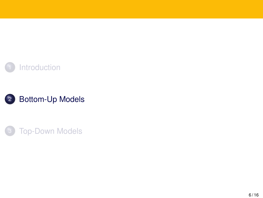<span id="page-6-0"></span>



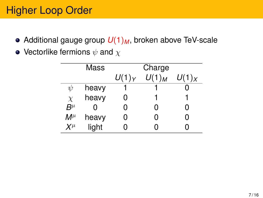# Higher Loop Order

- Additional gauge group  $U(1)_M$ , broken above TeV-scale
- Vectorlike fermions  $\psi$  and  $\chi$

|                  | Mass  | Charge   |          |          |  |
|------------------|-------|----------|----------|----------|--|
|                  |       | $U(1)_Y$ | $U(1)_M$ | $U(1)_X$ |  |
| V                | heavy |          |          |          |  |
| $\chi$           | heavy | 0        |          |          |  |
| $B^\mu$          |       | ი        | ი        | ი        |  |
| $\mathsf{M}^\mu$ | heavy | ი        | ი        | 0        |  |
| $X^{\mu}$        | light | O        |          |          |  |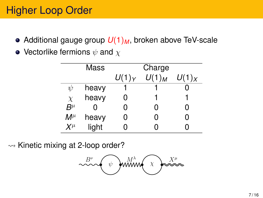# Higher Loop Order

- Additional gauge group  $U(1)_M$ , broken above TeV-scale
- Vectorlike fermions  $\psi$  and  $\chi$

|                  | Mass  |          | Charge   |          |
|------------------|-------|----------|----------|----------|
|                  |       | $U(1)_Y$ | $U(1)_M$ | $U(1)_X$ |
| $\psi$           | heavy |          |          |          |
| $\chi$           | heavy | 0        |          |          |
| $B^{\mu}$        | ი     | ი        | ი        | ი        |
| $\mathsf{M}^\mu$ | heavy | O        | ი        | ი        |
| $X^{\mu}$        | light |          | ი        |          |

 $\rightsquigarrow$  Kinetic mixing at 2-loop order?

 $B^{\nu}$  with  $\chi \rightarrow X^{\mu}$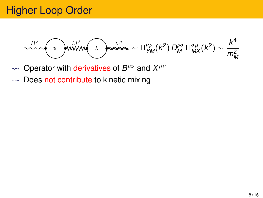$$
\text{max}_{\text{max}}\left(\text{max}_{\text{max}}\right)\text{max}_{\text{max}}\left(\text{max}_{\text{max}}\left(\text{max}\right)\text{max}_{\text{max}}\left(\text{max}\right)\text{max}\right)
$$

- $\rightarrow$  Operator with derivatives of *B<sup>μν</sup>* and *X<sup>μν</sup>*
- $\rightarrow$  Does not contribute to kinetic mixing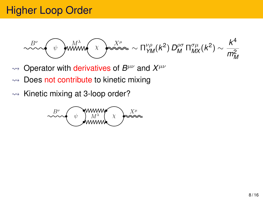$$
\sim \sim \sqrt{\psi} \quad \text{with} \quad \chi \quad \text{where} \quad \chi \quad \text{where} \quad \chi \quad \text{where} \quad \text{where} \quad \chi \quad \text{where} \quad \text{where} \quad \text{where} \quad \text{where} \quad \text{where} \quad \text{where} \quad \text{where} \quad \text{where} \quad \text{where} \quad \text{where} \quad \text{where} \quad \text{where} \quad \text{where} \quad \text{where} \quad \text{where} \quad \text{where} \quad \text{where} \quad \text{where} \quad \text{where} \quad \text{where} \quad \text{where} \quad \text{where} \quad \text{where} \quad \text{where} \quad \text{where} \quad \text{where} \quad \text{where} \quad \text{where} \quad \text{where} \quad \text{where} \quad \text{where} \quad \text{where} \quad \text{where} \quad \text{where} \quad \text{where} \quad \text{where} \quad \text{where} \quad \text{where} \quad \text{where} \quad \text{where} \quad \text{where} \quad \text{where} \quad \text{where} \quad \text{where} \quad \text{where} \quad \text{where} \quad \text{where} \quad \text{where} \quad \text{where} \quad \text{where} \quad \text{where} \quad \text{where} \quad \text{where} \quad \text{where} \quad \text{where} \quad \text{where} \quad \text{where} \quad \text{where} \quad \text{where} \quad \text{where} \quad \text{where} \quad \text{where} \quad \text{where} \quad \text{where} \quad \text{where} \quad \text{where} \quad \text{where} \quad \text{where} \quad \text{where} \quad \text{where} \quad \text{where} \quad \text{where} \quad \text{where} \quad \text{where} \quad \text{where} \quad \text{where} \quad \text{where} \quad \text{where} \quad \text{where} \quad \text{where} \quad \text{where} \quad \text{where} \quad \text{where} \quad \text{where} \quad \text{where} \quad \text{where} \quad \text{where} \quad \text{where} \quad \text{where} \quad \text{where} \quad \text{where} \quad \text{where} \quad \text{where} \quad \text{where} \quad \text{where} \quad \text{where} \quad \text{where} \quad \text{where} \quad \text{where} \quad \text{where}
$$

- $\rightarrow$  Operator with derivatives of *B<sup>μν</sup>* and *X<sup>μν</sup>*
- $\rightarrow$  Does not contribute to kinetic mixing
- $\rightarrow$  Kinetic mixing at 3-loop order?

$$
\begin{array}{c}\n\mathbf{B}^{\nu} \\
\downarrow \text{www.} \\
\downarrow \text{www.} \\
\downarrow \text{www.} \\
\downarrow \text{www.} \\
\downarrow \text{www.} \\
\downarrow \text{www.} \\
\downarrow \text{www.} \\
\downarrow \text{www.} \\
\downarrow \text{www.} \\
\downarrow \text{www.} \\
\downarrow \text{www.} \\
\downarrow \text{www.} \\
\downarrow \text{www.} \\
\downarrow \text{www.} \\
\downarrow \text{www.} \\
\downarrow \text{www.} \\
\downarrow \text{www.} \\
\downarrow \text{www.} \\
\downarrow \text{www.} \\
\downarrow \text{www.} \\
\downarrow \text{www.} \\
\downarrow \text{www.} \\
\downarrow \text{www.} \\
\downarrow \text{www.} \\
\downarrow \text{www.} \\
\downarrow \text{www.} \\
\downarrow \text{www.} \\
\downarrow \text{www.} \\
\downarrow \text{www.} \\
\downarrow \text{www.} \\
\downarrow \text{www.} \\
\downarrow \text{www.} \\
\downarrow \text{www.} \\
\downarrow \text{www.} \\
\downarrow \text{www.} \\
\downarrow \text{www.} \\
\downarrow \text{www.} \\
\downarrow \text{www.} \\
\downarrow \text{www.} \\
\downarrow \text{www.} \\
\downarrow \text{www.} \\
\downarrow \text{www.} \\
\downarrow \text{www.} \\
\downarrow \text{www.} \\
\downarrow \text{www.} \\
\downarrow \text{www.} \\
\downarrow \text{www.} \\
\downarrow \text{www.} \\
\downarrow \text{www.} \\
\downarrow \text{www.} \\
\downarrow \text{www.} \\
\downarrow \text{www.} \\
\downarrow \text{www.} \\
\downarrow \text{www.} \\
\downarrow \text{www.} \\
\downarrow \text{www.} \\
\downarrow \text{www.} \\
\downarrow \text{www.} \\
\downarrow \text{www.} \\
\downarrow \text{www.} \\
\downarrow \text{www.} \\
\downarrow \text{www.} \\
\downarrow \text{www.} \\
\downarrow \text{www.} \\
\downarrow \text{www.} \\
\downarrow \text{www.} \\
\downarrow \text{www.} \\
\downarrow \text{www.} \\
\downarrow \text{www.} \\
\downarrow \text{www.} \\
\downarrow \text{www.} \\
\downarrow \text{www.} \\
\downarrow \text{www.} \\
\downarrow \text{www.} \\
\
$$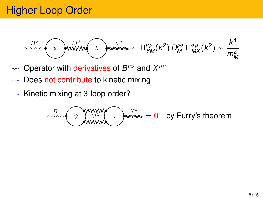$$
\sim \sim \sqrt{\psi} \quad \text{with} \quad \chi \quad \text{where} \quad \chi \quad \text{where} \quad \chi \quad \text{where} \quad \text{where} \quad \text{where} \quad \text{where} \quad \text{where} \quad \text{where} \quad \text{where} \quad \text{where} \quad \text{where} \quad \text{where} \quad \text{where} \quad \text{where} \quad \text{where} \quad \text{where} \quad \text{where} \quad \text{where} \quad \text{where} \quad \text{where} \quad \text{where} \quad \text{where} \quad \text{where} \quad \text{where} \quad \text{where} \quad \text{where} \quad \text{where} \quad \text{where} \quad \text{where} \quad \text{where} \quad \text{where} \quad \text{where} \quad \text{where} \quad \text{where} \quad \text{where} \quad \text{where} \quad \text{where} \quad \text{where} \quad \text{where} \quad \text{where} \quad \text{where} \quad \text{where} \quad \text{where} \quad \text{where} \quad \text{where} \quad \text{where} \quad \text{where} \quad \text{where} \quad \text{where} \quad \text{where} \quad \text{where} \quad \text{where} \quad \text{where} \quad \text{where} \quad \text{where} \quad \text{where} \quad \text{where} \quad \text{where} \quad \text{where} \quad \text{where} \quad \text{where} \quad \text{where} \quad \text{where} \quad \text{where} \quad \text{where} \quad \text{where} \quad \text{where} \quad \text{where} \quad \text{where} \quad \text{where} \quad \text{where} \quad \text{where} \quad \text{where} \quad \text{where} \quad \text{where} \quad \text{where} \quad \text{where} \quad \text{where} \quad \text{where} \quad \text{where} \quad \text{where} \quad \text{where} \quad \text{where} \quad \text{where} \quad \text{where} \quad \text{where} \quad \text{where} \quad \text{where} \quad \text{where} \quad \text{where} \quad \text{where} \quad \text{where} \quad \text{where} \quad \text{where} \quad \text{where} \quad \text{where} \quad \text{where} \quad \text{where} \quad \text{where} \quad \text{where} \quad \text{where} \quad \text{where} \quad \text{where} \quad \text{where} \quad \text
$$

- $\rightarrow$  Operator with derivatives of *B<sup>μν</sup>* and *X<sup>μν</sup>*
- $\rightarrow$  Does not contribute to kinetic mixing
- $\rightarrow$  Kinetic mixing at 3-loop order?

$$
\begin{array}{c}\n\mathcal{L}^{\text{B}} \\
\text{M}^{\text{B}} \\
\text{M}^{\text{B}}\n\end{array}
$$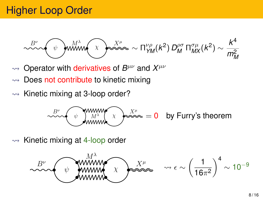$$
\text{max}_{\text{max}}\left(\text{max}_{\text{max}}\right)\text{max}_{\text{max}}\left(\text{max}_{\text{max}}\left(\text{max}\right)\text{max}_{\text{max}}\left(\text{max}\right)\text{max}_{\text{max}}\left(\text{max}\right)\text{max}_{\text{max}}\left(\text{max}\right)\text{max}_{\text{max}}\left(\text{max}\right)\text{max}_{\text{max}}\left(\text{max}\right)\text{max}_{\text{max}}\left(\text{max}\right)\text{max}_{\text{max}}\left(\text{max}\right)\text{max}_{\text{max}}\left(\text{max}\right)\text{max}_{\text{max}}\left(\text{max}\right)\text{max}_{\text{max}}\left(\text{max}\right)\text{max}_{\text{max}}\left(\text{max}\right)\text{max}_{\text{max}}\left(\text{max}\right)\text{max}_{\text{max}}\left(\text{max}\right)\text{max}_{\text{max}}\left(\text{max}\right)\text{max}_{\text{max}}\left(\text{max}\right)\text{max}_{\text{max}}\left(\text{max}\right)\text{max}_{\text{max}}\left(\text{max}\right)\text{max}_{\text{max}}\left(\text{max}\right)\text{max}_{\text{max}}\left(\text{max}\right)\text{max}_{\text{max}}\left(\text{max}\right)\text{max}_{\text{max}}\left(\text{max}\right)\text{max}_{\text{max}}\left(\text{max}\right)\text{max}_{\text{max}}\left(\text{max}\right)\text{max}_{\text{max}}\left(\text{max}\right)\text{max}_{\text{max}}\left(\text{max}\right)\text{max}_{\text{max}}\left(\text{max}\right)\text{max}_{\text{max}}\left(\text{max}\right)\text{max}_{\text{max}}\left(\text{max}\right)\text{max}_{\text{max}}\left(\text{max}\right)\text{max}_{\text{max}}\left(\text{max}\right)\text{max}_{\text{max}}\left(\text{max}\right)\text{max}_{\text{max}}\left(\text{max}\right)\text{max}_{\text{max}}\left(\text{max}\right)\text{max}_{\text{max}}\left(\text{max}\right)\text{max}_{\text{max}}\left(\text{max}\right)\text{max}_{\text{max}}\left(\text{max}\right)\text{max}_{\text{max}}\left(\text{max}\right)\text{max}_{\text{max}}\left(\text{max}\right)\text{max}_{\text{max}}\left(\text{max}\right)\text{max
$$

- $\rightarrow$  Operator with derivatives of *B<sup>μν</sup>* and *X<sup>μν</sup>*
- $\rightarrow$  Does not contribute to kinetic mixing
- $\rightarrow$  Kinetic mixing at 3-loop order?

$$
\begin{array}{c}\n\stackrel{B^{\nu}}{\sim} \\
\hline\n\text{www. } N^{\lambda} \\
\hline\n\text{www. } N^{\lambda} \\
\hline\n\end{array}\n\quad\n\begin{array}{c}\nX^{\mu} \\
\hline\n\end{array}\n= 0 \quad \text{by Furry's theorem}\n\end{array}
$$

 $\rightsquigarrow$  Kinetic mixing at 4-loop order

$$
\text{max}_{\text{min}} \left( \text{min}_{\text{min}} \left( \text{max}_{\text{max}} \right) \right)^{N^{\mu}} \text{max}_{\text{max}} \quad \text{and} \quad \epsilon \sim \left( \frac{1}{16\pi^2} \right)^4 \sim 10^{-9}
$$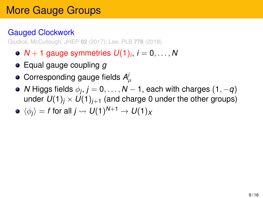#### Gauged Clockwork

Giudice, McCullough, JHEP **02** (2017); Lee, PLB **778** (2018)

- $\boldsymbol{N}+1$  gauge symmetries  $\boldsymbol{U}(1)_i, \, i=0,\ldots,N$
- Equal gauge coupling *g*
- Corresponding gauge fields  $A^i_\mu$
- $N$  Higgs fields  $\phi_j, j=0,\ldots,N-1,$  each with charges  $(1,-q)$ under  $U(1)_i \times U(1)_{i+1}$  (and charge 0 under the other groups)

$$
\bullet \: \: \langle \phi_j \rangle = \text{$f$ for all $j \leadsto U(1)^{N+1} \to U(1)_X$}
$$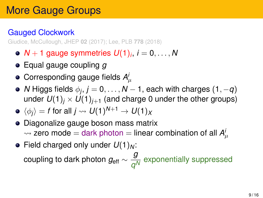### Gauged Clockwork

Giudice, McCullough, JHEP **02** (2017); Lee, PLB **778** (2018)

- $\boldsymbol{N}+1$  gauge symmetries  $\boldsymbol{U}(1)_i, \, i=0,\ldots,N$
- Equal gauge coupling *g*
- Corresponding gauge fields  $A^i_\mu$
- $N$  Higgs fields  $\phi_j, j=0,\ldots,N-1,$  each with charges  $(1,-q)$ under  $U(1)_i \times U(1)_{i+1}$  (and charge 0 under the other groups)

$$
\bullet \: \: \langle \phi_j \rangle = f \: \text{for all} \: j \leadsto U(1)^{N+1} \to U(1)_X
$$

- Diagonalize gauge boson mass matrix  $\rightsquigarrow$  zero mode  $=$  dark photon  $=$  linear combination of all  $A^{i}_{\mu}$
- Field charged only under  $U(1)_N$ : coupling to dark photon *g*eff ∼ *g q N* exponentially suppressed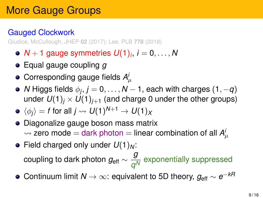### Gauged Clockwork

Giudice, McCullough, JHEP **02** (2017); Lee, PLB **778** (2018)

- $\boldsymbol{N}+1$  gauge symmetries  $\boldsymbol{U}(1)_i, \, i=0,\ldots,N$
- Equal gauge coupling *g*
- Corresponding gauge fields  $A^i_\mu$
- $N$  Higgs fields  $\phi_j, j=0,\ldots,N-1,$  each with charges  $(1,-q)$ under  $U(1)_i \times U(1)_{i+1}$  (and charge 0 under the other groups)

$$
\bullet \: \: \langle \phi_j \rangle = f \text{ for all } j \leadsto U(1)^{N+1} \to U(1)_X
$$

- Diagonalize gauge boson mass matrix  $\rightsquigarrow$  zero mode  $=$  dark photon  $=$  linear combination of all  $A^{i}_{\mu}$
- Field charged only under  $U(1)_N$ : coupling to dark photon *g*eff ∼ *g q N* exponentially suppressed
- Continuum limit *N* → ∞: equivalent to 5D theory, *g*eff ∼ *e* −*kR*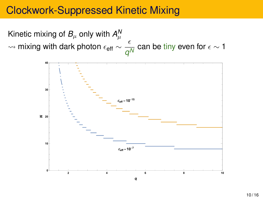### Clockwork-Suppressed Kinetic Mixing

Kinetic mixing of  $B_\mu$  only with  $A_\mu^{\mathsf{M}}$  $\sim$  mixing with dark photon  $\epsilon_{\text{eff}} \sim \frac{\epsilon}{c}$  $\frac{1}{q^N}$  can be tiny even for  $\epsilon$   $\sim$  1

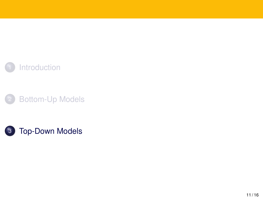<span id="page-17-0"></span>



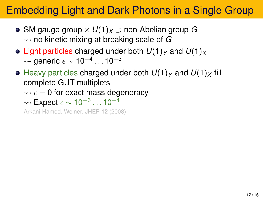# Embedding Light and Dark Photons in a Single Group

- SM gauge group × *U*(1)*<sup>X</sup>* ⊃ non-Abelian group *G*  $\rightsquigarrow$  no kinetic mixing at breaking scale of  $G$
- Light particles charged under both  $U(1)_Y$  and  $U(1)_X$  $\rightsquigarrow$  generic  $\epsilon \sim 10^{-4}\ldots 10^{-3}$
- $\bullet$  Heavy particles charged under both  $U(1)_Y$  and  $U(1)_X$  fill complete GUT multiplets
	- $\rightsquigarrow$   $\epsilon = 0$  for exact mass degeneracy
	- $\rightsquigarrow$  Expect  $\epsilon \sim 10^{-6}\ldots 10^{-4}$

Arkani-Hamed, Weiner, JHEP **12** (2008)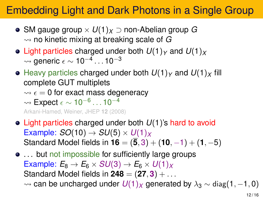# Embedding Light and Dark Photons in a Single Group

- SM gauge group × *U*(1)*<sup>X</sup>* ⊃ non-Abelian group *G*  $\rightsquigarrow$  no kinetic mixing at breaking scale of  $G$
- Light particles charged under both  $U(1)_Y$  and  $U(1)_X$  $\rightsquigarrow$  generic  $\epsilon \sim 10^{-4}\ldots 10^{-3}$
- $\bullet$  Heavy particles charged under both  $U(1)_Y$  and  $U(1)_X$  fill complete GUT multiplets
	- $\rightarrow \epsilon = 0$  for exact mass degeneracy

$$
\leadsto \textsf{Expected}~\epsilon \sim 10^{-6} \ldots 10^{-4}
$$

Arkani-Hamed, Weiner, JHEP **12** (2008)

- Light particles charged under both *U*(1)'s hard to avoid Example:  $SO(10) \rightarrow SU(5) \times U(1)_X$ Standard Model fields in  $16 = (\overline{5}, 3) + (10, -1) + (1, -5)$
- $\bullet$  ... but not impossible for sufficiently large groups Example:  $E_8 \rightarrow E_6 \times SU(3) \rightarrow E_6 \times U(1)_X$ Standard Model fields in  $248 = (27, 3) + \ldots$  $\rightarrow$  can be uncharged under  $U(1)_X$  generated by  $\lambda_3 \sim$  diag(1, −1, 0)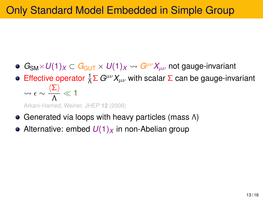# Only Standard Model Embedded in Simple Group

- $G_{\text{SM}} \times U(1)_X \subset G_{\text{GUT}} \times U(1)_X \rightsquigarrow G^{\mu\nu} X_{\mu\nu}$  not gauge-invariant
- Effective operator  $\frac{1}{\Lambda} \Sigma G^{\mu\nu} X_{\mu\nu}$  with scalar  $\Sigma$  can be gauge-invariant  $\rightsquigarrow \epsilon \sim \frac{\langle \Sigma \rangle}{\Lambda}$  $\frac{\Sigma I}{\Lambda} \ll 1$

Arkani-Hamed, Weiner, JHEP **12** (2008)

- Generated via loops with heavy particles (mass Λ)
- Alternative: embed  $U(1)_X$  in non-Abelian group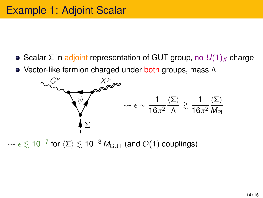• Scalar Σ in adjoint representation of GUT group, no *U*(1)<sub>*X*</sub> charge

• Vector-like fermion charged under both groups, mass Λ



 $\rightsquigarrow$   $\epsilon$   $\lesssim$  10<sup>−7</sup> for  $\langle\Sigma\rangle$   $\lesssim$  10<sup>−3</sup>  $M_{\text{GUT}}$  (and  $\mathcal{O}(1)$  couplings)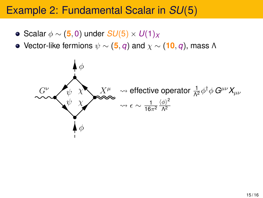### Example 2: Fundamental Scalar in *SU*(5)

- Scalar φ ∼ (**5**, 0) under *SU*(5) × *U*(1)*<sup>X</sup>*
- $\bullet$  Vector-like fermions  $\psi \sim (5, q)$  and  $\chi \sim (10, q)$ , mass Λ

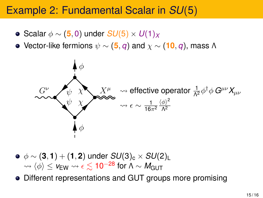### Example 2: Fundamental Scalar in *SU*(5)

- Scalar φ ∼ (**5**, 0) under *SU*(5) × *U*(1)*<sup>X</sup>*
- $\bullet$  Vector-like fermions  $ψ$  ~ (5, *q*) and  $χ$  ~ (10, *q*), mass Λ



 $\phi \phi \sim (3, 1) + (1, 2)$  under  $SU(3)_{c} \times SU(2)_{L}$  $\sim \langle \phi \rangle$  < *v*<sub>EW</sub>  $\sim \epsilon$  ≤ 10<sup>-28</sup> for  $\Lambda \sim M_{\text{GUT}}$ 

Different representations and GUT groups more promising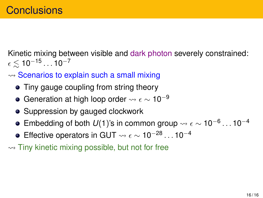Kinetic mixing between visible and dark photon severely constrained:  $\epsilon \lesssim 10^{-15}\ldots 10^{-7}$ 

- $\rightarrow$  Scenarios to explain such a small mixing
	- Tiny gauge coupling from string theory
	- Generation at high loop order  $\rightsquigarrow \epsilon \sim 10^{-9}$
	- Suppression by gauged clockwork
	- Embedding of both  $U(1)$ 's in common group  $\rightsquigarrow \epsilon \sim 10^{-6} \dots 10^{-4}$
	- Effective operators in GUT  $\rightsquigarrow \epsilon \sim 10^{-28} \dots 10^{-4}$
- $\rightarrow$  Tiny kinetic mixing possible, but not for free